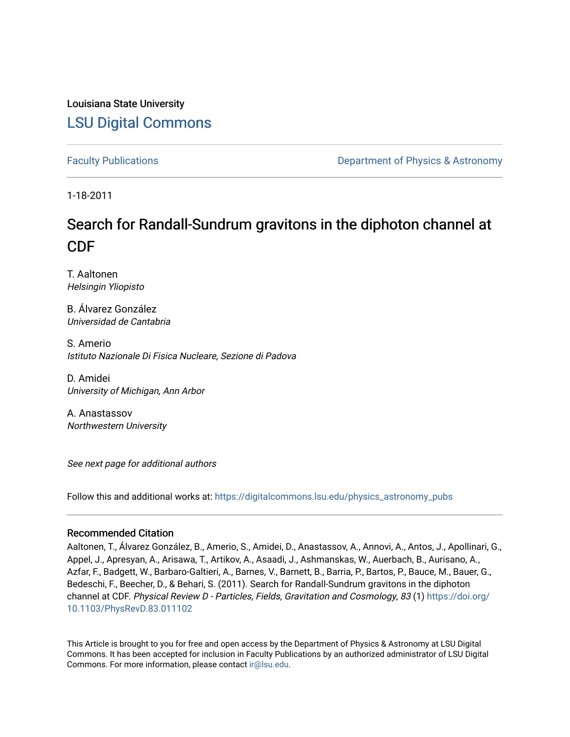Louisiana State University [LSU Digital Commons](https://digitalcommons.lsu.edu/)

[Faculty Publications](https://digitalcommons.lsu.edu/physics_astronomy_pubs) **Example 2** Constant Department of Physics & Astronomy

1-18-2011

### Search for Randall-Sundrum gravitons in the diphoton channel at CDF

T. Aaltonen Helsingin Yliopisto

B. Álvarez González Universidad de Cantabria

S. Amerio Istituto Nazionale Di Fisica Nucleare, Sezione di Padova

D. Amidei University of Michigan, Ann Arbor

A. Anastassov Northwestern University

See next page for additional authors

Follow this and additional works at: [https://digitalcommons.lsu.edu/physics\\_astronomy\\_pubs](https://digitalcommons.lsu.edu/physics_astronomy_pubs?utm_source=digitalcommons.lsu.edu%2Fphysics_astronomy_pubs%2F2376&utm_medium=PDF&utm_campaign=PDFCoverPages) 

### Recommended Citation

Aaltonen, T., Álvarez González, B., Amerio, S., Amidei, D., Anastassov, A., Annovi, A., Antos, J., Apollinari, G., Appel, J., Apresyan, A., Arisawa, T., Artikov, A., Asaadi, J., Ashmanskas, W., Auerbach, B., Aurisano, A., Azfar, F., Badgett, W., Barbaro-Galtieri, A., Barnes, V., Barnett, B., Barria, P., Bartos, P., Bauce, M., Bauer, G., Bedeschi, F., Beecher, D., & Behari, S. (2011). Search for Randall-Sundrum gravitons in the diphoton channel at CDF. Physical Review D - Particles, Fields, Gravitation and Cosmology, 83 (1) [https://doi.org/](https://doi.org/10.1103/PhysRevD.83.011102) [10.1103/PhysRevD.83.011102](https://doi.org/10.1103/PhysRevD.83.011102) 

This Article is brought to you for free and open access by the Department of Physics & Astronomy at LSU Digital Commons. It has been accepted for inclusion in Faculty Publications by an authorized administrator of LSU Digital Commons. For more information, please contact [ir@lsu.edu](mailto:ir@lsu.edu).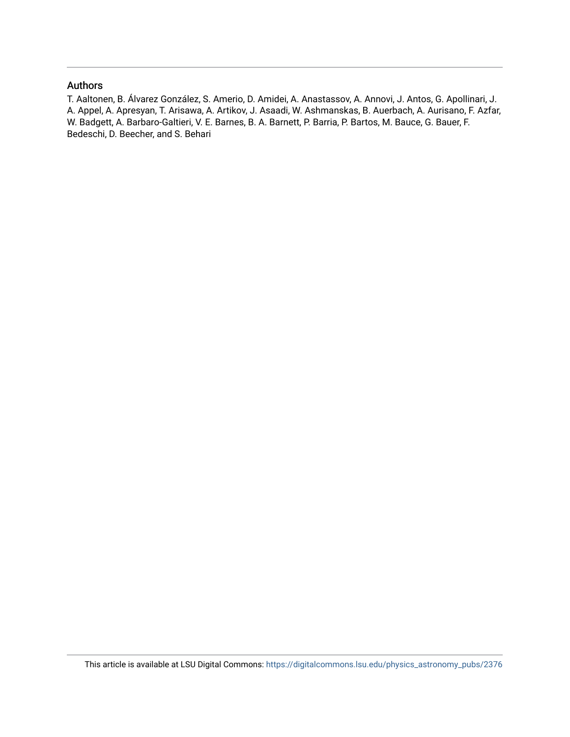### Authors

T. Aaltonen, B. Álvarez González, S. Amerio, D. Amidei, A. Anastassov, A. Annovi, J. Antos, G. Apollinari, J. A. Appel, A. Apresyan, T. Arisawa, A. Artikov, J. Asaadi, W. Ashmanskas, B. Auerbach, A. Aurisano, F. Azfar, W. Badgett, A. Barbaro-Galtieri, V. E. Barnes, B. A. Barnett, P. Barria, P. Bartos, M. Bauce, G. Bauer, F. Bedeschi, D. Beecher, and S. Behari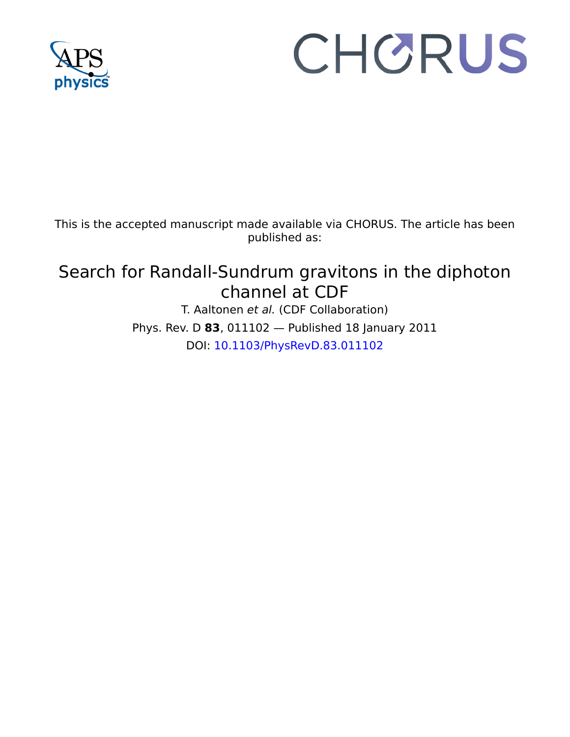

# CHORUS

This is the accepted manuscript made available via CHORUS. The article has been published as:

## Search for Randall-Sundrum gravitons in the diphoton channel at CDF

T. Aaltonen et al. (CDF Collaboration) Phys. Rev. D **83**, 011102 — Published 18 January 2011 DOI: [10.1103/PhysRevD.83.011102](http://dx.doi.org/10.1103/PhysRevD.83.011102)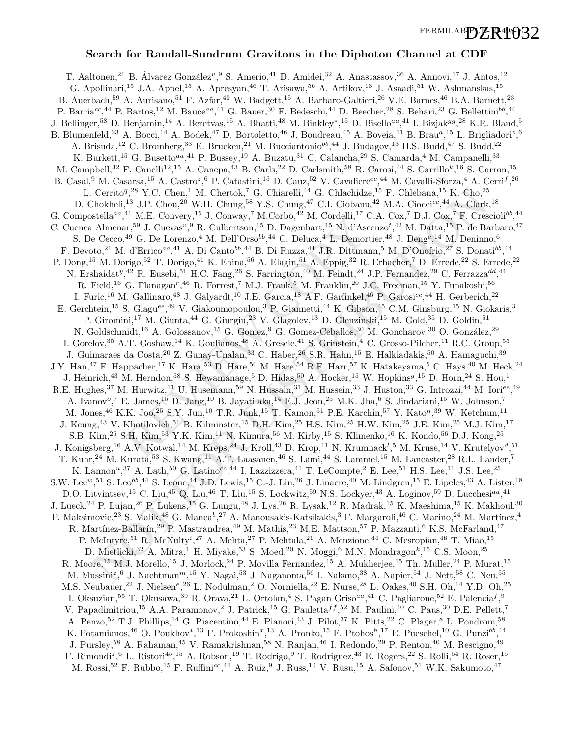FERMILAB**DZR<sup>4</sup>032** 

### Search for Randall-Sundrum Gravitons in the Diphoton Channel at CDF

<sup>27</sup> M. E. Convery,<sup>-3</sup> J. Conway,<sup>-M.</sup>C. Converg,<sup>-3</sup> M. Coronery,<sup>-3</sup> D. Dagenhart,<sup>15</sup> D. Dagenhart,<sup>15</sup> D. Dagenhart,<sup>15</sup> D. Dagenhart,<sup>15</sup> D. Thesen in the G. Deluca,<sup>4</sup> 4 A. Di Canto<sup>16,44</sup> B. Di Ruzza,<sup>44</sup> J.R. Dit Certifor(3)  $^{\circ}$  N. Clemen! IV. Clements, To Clements, The Cholchitae $^{10}$ E. Cholchitae (1)  $^{\circ}$ E. Clements, The Cholchitae (1)  $^{\circ}$ E. Clements, The Cholchitae (1)  $^{\circ}$ E. Clements, The Cholchitae (1)  $^{\circ}$ E. Cle T. Aaltonen,<sup>21</sup> B. Álvarez González<sup>v</sup>, <sup>9</sup> S. Amerio,<sup>41</sup> D. Amidei,<sup>32</sup> A. Anastassov, <sup>36</sup> A. Annovi, <sup>17</sup> J. Antos, <sup>12</sup> G. Apollinari,<sup>15</sup> J.A. Appel,<sup>15</sup> A. Apresyan,<sup>46</sup> T. Arisawa,<sup>56</sup> A. Artikov,<sup>13</sup> J. Asaadi,<sup>51</sup> W. Ashmanskas,<sup>15</sup> B. Auerbach,<sup>59</sup> A. Aurisano,<sup>51</sup> F. Azfar,<sup>40</sup> W. Badgett,<sup>15</sup> A. Barbaro-Galtieri,<sup>26</sup> V.E. Barnes,<sup>46</sup> B.A. Barnett,<sup>23</sup> P. Barria<sup>cc</sup>,<sup>44</sup> P. Bartos,<sup>12</sup> M. Bauce<sup>aa</sup>,<sup>41</sup> G. Bauer,<sup>30</sup> F. Bedeschi,<sup>44</sup> D. Beecher,<sup>28</sup> S. Behari,<sup>23</sup> G. Bellettini<sup>bb</sup>,<sup>44</sup> J. Bellinger,<sup>58</sup> D. Benjamin,<sup>14</sup> A. Beretvas,<sup>15</sup> A. Bhatti,<sup>48</sup> M. Binkley\*,<sup>15</sup> D. Bisello<sup>aa</sup>,<sup>41</sup> I. Bizjak<sup>99</sup>,<sup>28</sup> K.R. Bland,<sup>5</sup> B. Blumenfeld,<sup>23</sup> A. Bocci,<sup>14</sup> A. Bodek,<sup>47</sup> D. Bortoletto,<sup>46</sup> J. Boudreau,<sup>45</sup> A. Boveia,<sup>11</sup> B. Brau<sup>a</sup>,<sup>15</sup> L. Brigliadori<sup>z</sup>,<sup>6</sup> A. Brisuda,<sup>12</sup> C. Bromberg,<sup>33</sup> E. Brucken,<sup>21</sup> M. Bucciantonio<sup>bb</sup>,<sup>44</sup> J. Budagov,<sup>13</sup> H.S. Budd,<sup>47</sup> S. Budd,<sup>22</sup> K. Burkett,<sup>15</sup> G. Busetto<sup>aa</sup>,<sup>41</sup> P. Bussey,<sup>19</sup> A. Buzatu,<sup>31</sup> C. Calancha,<sup>29</sup> S. Camarda,<sup>4</sup> M. Campanelli,<sup>33</sup> M. Campbell,<sup>32</sup> F. Canelli<sup>12</sup>,<sup>15</sup> A. Canepa,<sup>43</sup> B. Carls,<sup>22</sup> D. Carlsmith,<sup>58</sup> R. Carosi,<sup>44</sup> S. Carrillo<sup>k</sup>,<sup>16</sup> S. Carron,<sup>15</sup> B. Casal,<sup>9</sup> M. Casarsa,<sup>15</sup> A. Castro<sup>z</sup>,<sup>6</sup> P. Catastini,<sup>15</sup> D. Cauz,<sup>52</sup> V. Cavaliere<sup>cc</sup>,<sup>44</sup> M. Cavalli-Sforza,<sup>4</sup> A. Cerri<sup>f</sup>,<sup>26</sup> L. Cerrito<sup>q</sup>,<sup>28</sup> Y.C. Chen,<sup>1</sup> M. Chertok,<sup>7</sup> G. Chiarelli,<sup>44</sup> G. Chlachidze,<sup>15</sup> F. Chlebana,<sup>15</sup> K. Cho,<sup>25</sup> D. Chokheli,<sup>13</sup> J.P. Chou,<sup>20</sup> W.H. Chung,<sup>58</sup> Y.S. Chung,<sup>47</sup> C.I. Ciobanu,<sup>42</sup> M.A. Ciocci<sup>cc</sup>,<sup>44</sup> A. Clark,<sup>18</sup> G. Compostella<sup>aa</sup>,<sup>41</sup> M.E. Convery,<sup>15</sup> J. Conway,<sup>7</sup> M.Corbo,<sup>42</sup> M. Cordelli,<sup>17</sup> C.A. Cox,<sup>7</sup> D.J. Cox,<sup>7</sup> F. Crescioli<sup>bb</sup>,<sup>44</sup> C. Cuenca Almenar,<sup>59</sup> J. Cuevas<sup>v</sup>, <sup>9</sup> R. Culbertson,<sup>15</sup> D. Dagenhart,<sup>15</sup> N. d'Ascenzo<sup>t</sup>,<sup>42</sup> M. Datta,<sup>15</sup> P. de Barbaro,<sup>47</sup> S. De Cecco,<sup>49</sup> G. De Lorenzo,<sup>4</sup> M. Dell'Orso<sup>bb</sup>,<sup>44</sup> C. Deluca,<sup>4</sup> L. Demortier,<sup>48</sup> J. Deng<sup>c</sup>,<sup>14</sup> M. Deninno,<sup>6</sup> F. Devoto,<sup>21</sup> M. d'Errico<sup>aa</sup>,<sup>41</sup> A. Di Canto<sup>bb</sup>,<sup>44</sup> B. Di Ruzza,<sup>44</sup> J.R. Dittmann,<sup>5</sup> M. D'Onofrio,<sup>27</sup> S. Donati<sup>bb</sup>,<sup>44</sup> P. Dong,<sup>15</sup> M. Dorigo,<sup>52</sup> T. Dorigo,<sup>41</sup> K. Ebina,<sup>56</sup> A. Elagin,<sup>51</sup> A. Eppig,<sup>32</sup> R. Erbacher,<sup>7</sup> D. Errede,<sup>22</sup> S. Errede,<sup>22</sup> N. Ershaidat<sup>y</sup>,<sup>42</sup> R. Eusebi,<sup>51</sup> H.C. Fang,<sup>26</sup> S. Farrington,<sup>40</sup> M. Feindt,<sup>24</sup> J.P. Fernandez,<sup>29</sup> C. Ferrazza<sup>dd</sup>,<sup>44</sup> R. Field,<sup>16</sup> G. Flanagan<sup>r</sup>,<sup>46</sup> R. Forrest,<sup>7</sup> M.J. Frank,<sup>5</sup> M. Franklin,<sup>20</sup> J.C. Freeman,<sup>15</sup> Y. Funakoshi,<sup>56</sup> I. Furic,<sup>16</sup> M. Gallinaro,<sup>48</sup> J. Galyardt,<sup>10</sup> J.E. Garcia,<sup>18</sup> A.F. Garfinkel,<sup>46</sup> P. Garosi<sup>cc</sup>,<sup>44</sup> H. Gerberich,<sup>22</sup> E. Gerchtein,<sup>15</sup> S. Giagu<sup>ee</sup>,<sup>49</sup> V. Giakoumopoulou,<sup>3</sup> P. Giannetti,<sup>44</sup> K. Gibson,<sup>45</sup> C.M. Ginsburg,<sup>15</sup> N. Giokaris,<sup>3</sup> P. Giromini,<sup>17</sup> M. Giunta,<sup>44</sup> G. Giurgiu,<sup>23</sup> V. Glagolev,<sup>13</sup> D. Glenzinski,<sup>15</sup> M. Gold,<sup>35</sup> D. Goldin,<sup>51</sup> N. Goldschmidt,<sup>16</sup> A. Golossanov,<sup>15</sup> G. Gomez,<sup>9</sup> G. Gomez-Ceballos,<sup>30</sup> M. Goncharov,<sup>30</sup> O. González,<sup>29</sup> I. Gorelov,<sup>35</sup> A.T. Goshaw,<sup>14</sup> K. Goulianos,<sup>48</sup> A. Gresele,<sup>41</sup> S. Grinstein,<sup>4</sup> C. Grosso-Pilcher,<sup>11</sup> R.C. Group,<sup>55</sup> J. Guimaraes da Costa, <sup>20</sup> Z. Gunay-Unalan, <sup>33</sup> C. Haber, <sup>26</sup> S.R. Hahn, <sup>15</sup> E. Halkiadakis, <sup>50</sup> A. Hamaguchi, <sup>39</sup> J.Y. Han,<sup>47</sup> F. Happacher,<sup>17</sup> K. Hara,<sup>53</sup> D. Hare,<sup>50</sup> M. Hare,<sup>54</sup> R.F. Harr,<sup>57</sup> K. Hatakeyama,<sup>5</sup> C. Hays,<sup>40</sup> M. Heck,<sup>24</sup> J. Heinrich,<sup>43</sup> M. Herndon,<sup>58</sup> S. Hewamanage,<sup>5</sup> D. Hidas,<sup>50</sup> A. Hocker,<sup>15</sup> W. Hopkins<sup>g</sup>,<sup>15</sup> D. Horn,<sup>24</sup> S. Hou,<sup>1</sup> R.E. Hughes,<sup>37</sup> M. Hurwitz,<sup>11</sup> U. Husemann,<sup>59</sup> N. Hussain,<sup>31</sup> M. Hussein,<sup>33</sup> J. Huston,<sup>33</sup> G. Introzzi,<sup>44</sup> M. Iori<sup>ee</sup>,<sup>49</sup> A. Ivanov<sup>o</sup>,<sup>7</sup> E. James,<sup>15</sup> D. Jang,<sup>10</sup> B. Jayatilaka,<sup>14</sup> E.J. Jeon,<sup>25</sup> M.K. Jha,<sup>6</sup> S. Jindariani,<sup>15</sup> W. Johnson,<sup>7</sup> M. Jones, <sup>46</sup> K.K. Joo, <sup>25</sup> S.Y. Jun, <sup>10</sup> T.R. Junk, <sup>15</sup> T. Kamon, <sup>51</sup> P.E. Karchin, <sup>57</sup> Y. Kato<sup>n</sup>, <sup>39</sup> W. Ketchum, <sup>11</sup> J. Keung,<sup>43</sup> V. Khotilovich,<sup>51</sup> B. Kilminster,<sup>15</sup> D.H. Kim,<sup>25</sup> H.S. Kim,<sup>25</sup> H.W. Kim,<sup>25</sup> J.E. Kim,<sup>25</sup> M.J. Kim,<sup>17</sup> S.B. Kim,<sup>25</sup> S.H. Kim,<sup>53</sup> Y.K. Kim,<sup>11</sup> N. Kimura,<sup>56</sup> M. Kirby,<sup>15</sup> S. Klimenko,<sup>16</sup> K. Kondo,<sup>56</sup> D.J. Kong,<sup>25</sup> J. Konigsberg,<sup>16</sup> A.V. Kotwal,<sup>14</sup> M. Kreps,<sup>24</sup> J. Kroll,<sup>43</sup> D. Krop,<sup>11</sup> N. Krumnack<sup>l</sup>,<sup>5</sup> M. Kruse,<sup>14</sup> V. Krutelyov<sup>d</sup>,<sup>51</sup> T. Kuhr,<sup>24</sup> M. Kurata,<sup>53</sup> S. Kwang,<sup>11</sup> A.T. Laasanen,<sup>46</sup> S. Lami,<sup>44</sup> S. Lammel,<sup>15</sup> M. Lancaster,<sup>28</sup> R.L. Lander,<sup>7</sup> K. Lannon<sup>u</sup>,<sup>37</sup> A. Lath,<sup>50</sup> G. Latino<sup>cc</sup>,<sup>44</sup> I. Lazzizzera,<sup>41</sup> T. LeCompte,<sup>2</sup> E. Lee,<sup>51</sup> H.S. Lee,<sup>11</sup> J.S. Lee,<sup>25</sup> S.W. Lee<sup>w</sup>,<sup>51</sup> S. Leo<sup>bb</sup>,<sup>44</sup> S. Leone,<sup>44</sup> J.D. Lewis,<sup>15</sup> C.-J. Lin,<sup>26</sup> J. Linacre,<sup>40</sup> M. Lindgren,<sup>15</sup> E. Lipeles,<sup>43</sup> A. Lister,<sup>18</sup> D.O. Litvintsev,  $^{15}$  C. Liu,  $^{45}$  Q. Liu,  $^{46}$  T. Liu,  $^{15}$  S. Lockwitz,  $^{59}$  N.S. Lockyer,  $^{43}$  A. Loginov,  $^{59}$  D. Lucchesi $^{a}$ ,  $^{41}$ J. Lueck,<sup>24</sup> P. Lujan,<sup>26</sup> P. Lukens,<sup>15</sup> G. Lungu,<sup>48</sup> J. Lys,<sup>26</sup> R. Lysak,<sup>12</sup> R. Madrak,<sup>15</sup> K. Maeshima,<sup>15</sup> K. Makhoul,<sup>30</sup> P. Maksimovic,<sup>23</sup> S. Malik,<sup>48</sup> G. Manca<sup>b</sup>,<sup>27</sup> A. Manousakis-Katsikakis,<sup>3</sup> F. Margaroli,<sup>46</sup> C. Marino,<sup>24</sup> M. Martínez,<sup>4</sup> R. Martínez-Ballarín,<sup>29</sup> P. Mastrandrea,<sup>49</sup> M. Mathis,<sup>23</sup> M.E. Mattson,<sup>57</sup> P. Mazzanti,<sup>6</sup> K.S. McFarland,<sup>47</sup> P. McIntyre,<sup>51</sup> R. McNulty<sup>i</sup>,<sup>27</sup> A. Mehta,<sup>27</sup> P. Mehtala,<sup>21</sup> A. Menzione,<sup>44</sup> C. Mesropian,<sup>48</sup> T. Miao,<sup>15</sup> D. Mietlicki,  $32$  A. Mitra, <sup>1</sup> H. Miyake,  $53$  S. Moed,  $20$  N. Moggi,  $6$  M.N. Mondragon<sup>k</sup>,  $15$  C.S. Moon,  $25$ R. Moore,<sup>15</sup> M.J. Morello,<sup>15</sup> J. Morlock,<sup>24</sup> P. Movilla Fernandez,<sup>15</sup> A. Mukherjee,<sup>15</sup> Th. Muller,<sup>24</sup> P. Murat,<sup>15</sup> M. Mussini<sup>z</sup>, <sup>6</sup> J. Nachtman<sup>m</sup>, <sup>15</sup> Y. Nagai, <sup>53</sup> J. Naganoma, <sup>56</sup> I. Nakano, <sup>38</sup> A. Napier, <sup>54</sup> J. Nett, <sup>58</sup> C. Neu, <sup>55</sup> M.S. Neubauer,<sup>22</sup> J. Nielsen<sup>e</sup>,<sup>26</sup> L. Nodulman,<sup>2</sup> O. Norniella,<sup>22</sup> E. Nurse,<sup>28</sup> L. Oakes,<sup>40</sup> S.H. Oh,<sup>14</sup> Y.D. Oh,<sup>25</sup> I. Oksuzian,<sup>55</sup> T. Okusawa,<sup>39</sup> R. Orava,<sup>21</sup> L. Ortolan,<sup>4</sup> S. Pagan Griso<sup>aa</sup>,<sup>41</sup> C. Pagliarone,<sup>52</sup> E. Palencia<sup>f</sup>,<sup>9</sup> V. Papadimitriou,<sup>15</sup> A.A. Paramonov,<sup>2</sup> J. Patrick,<sup>15</sup> G. Pauletta<sup>f f</sup>,<sup>52</sup> M. Paulini,<sup>10</sup> C. Paus,<sup>30</sup> D.E. Pellett,<sup>7</sup> A. Penzo,<sup>52</sup> T.J. Phillips,<sup>14</sup> G. Piacentino,<sup>44</sup> E. Pianori,<sup>43</sup> J. Pilot,<sup>37</sup> K. Pitts,<sup>22</sup> C. Plager,<sup>8</sup> L. Pondrom,<sup>58</sup> K. Potamianos,<sup>46</sup> O. Poukhov<sup>\*</sup>,<sup>13</sup> F. Prokoshin<sup>x</sup>,<sup>13</sup> A. Pronko,<sup>15</sup> F. Ptohos<sup>h</sup>,<sup>17</sup> E. Pueschel,<sup>10</sup> G. Punzi<sup>bb</sup>,<sup>44</sup> J. Pursley,<sup>58</sup> A. Rahaman,<sup>45</sup> V. Ramakrishnan,<sup>58</sup> N. Ranjan,<sup>46</sup> I. Redondo,<sup>29</sup> P. Renton,<sup>40</sup> M. Rescigno,<sup>49</sup> F. Rimondi<sup>z</sup>, <sup>6</sup> L. Ristori<sup>45</sup>, <sup>15</sup> A. Robson, <sup>19</sup> T. Rodrigo, <sup>9</sup> T. Rodriguez, <sup>43</sup> E. Rogers, <sup>22</sup> S. Rolli, <sup>54</sup> R. Roser, <sup>15</sup> M. Rossi,<sup>52</sup> F. Rubbo,<sup>15</sup> F. Ruffini<sup>cc</sup>,<sup>44</sup> A. Ruiz,<sup>9</sup> J. Russ,<sup>10</sup> V. Rusu,<sup>15</sup> A. Safonov,<sup>51</sup> W.K. Sakumoto,<sup>47</sup>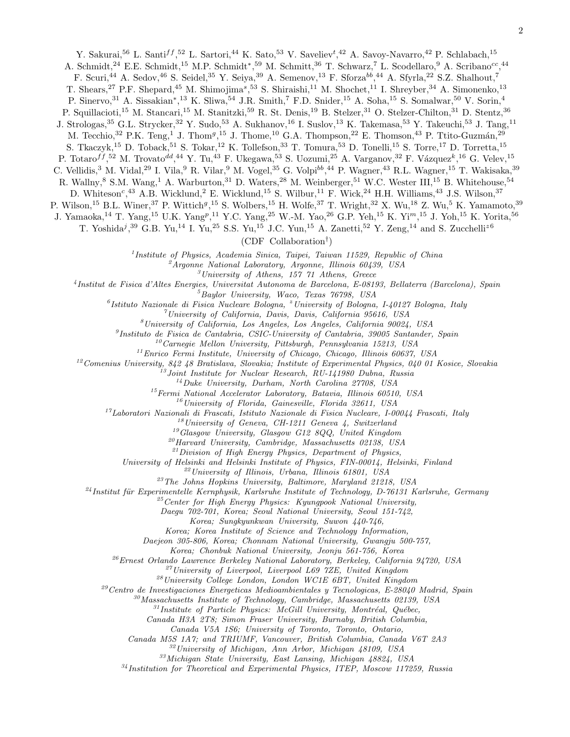Y. Sakurai,<sup>56</sup> L. Santi<sup>ff</sup>,<sup>52</sup> L. Sartori,<sup>44</sup> K. Sato,<sup>53</sup> V. Saveliev<sup>t</sup>,<sup>42</sup> A. Savoy-Navarro,<sup>42</sup> P. Schlabach,<sup>15</sup>

A. Schmidt,<sup>24</sup> E.E. Schmidt,<sup>15</sup> M.P. Schmidt<sup>\*</sup>,<sup>59</sup> M. Schmitt,<sup>36</sup> T. Schwarz,<sup>7</sup> L. Scodellaro,<sup>9</sup> A. Scribano<sup>cc</sup>,<sup>44</sup>

F. Scuri,<sup>44</sup> A. Sedov,<sup>46</sup> S. Seidel,<sup>35</sup> Y. Seiya,<sup>39</sup> A. Semenov,<sup>13</sup> F. Sforza<sup>bb</sup>,<sup>44</sup> A. Sfyrla,<sup>22</sup> S.Z. Shalhout,<sup>7</sup>

T. Shears,<sup>27</sup> P.F. Shepard,<sup>45</sup> M. Shimojima<sup>s</sup>,<sup>53</sup> S. Shiraishi,<sup>11</sup> M. Shochet,<sup>11</sup> I. Shreyber,<sup>34</sup> A. Simonenko,<sup>13</sup>

P. Sinervo,<sup>31</sup> A. Sissakian<sup>∗</sup>,<sup>13</sup> K. Sliwa,<sup>54</sup> J.R. Smith,<sup>7</sup> F.D. Snider,<sup>15</sup> A. Soha,<sup>15</sup> S. Somalwar,<sup>50</sup> V. Sorin,<sup>4</sup>

P. Squillacioti,<sup>15</sup> M. Stancari,<sup>15</sup> M. Stanitzki,<sup>59</sup> R. St. Denis,<sup>19</sup> B. Stelzer,<sup>31</sup> O. Stelzer-Chilton,<sup>31</sup> D. Stentz,<sup>36</sup>

J. Strologas,<sup>35</sup> G.L. Strycker,<sup>32</sup> Y. Sudo,<sup>53</sup> A. Sukhanov,<sup>16</sup> I. Suslov,<sup>13</sup> K. Takemasa,<sup>53</sup> Y. Takeuchi,<sup>53</sup> J. Tang,<sup>11</sup>

M. Tecchio,  $32$  P.K. Teng, <sup>1</sup> J. Thom<sup>g</sup>, <sup>15</sup> J. Thome, <sup>10</sup> G.A. Thompson, <sup>22</sup> E. Thomson, <sup>43</sup> P. Ttito-Guzmán, <sup>29</sup>

S. Tkaczyk,<sup>15</sup> D. Toback,<sup>51</sup> S. Tokar,<sup>12</sup> K. Tollefson,<sup>33</sup> T. Tomura,<sup>53</sup> D. Tonelli,<sup>15</sup> S. Torre,<sup>17</sup> D. Torretta,<sup>15</sup>

P. Totaro $^{ff}$ ,<sup>52</sup> M. Trovato<sup>dd</sup>,<sup>44</sup> Y. Tu,<sup>43</sup> F. Ukegawa,<sup>53</sup> S. Uozumi,<sup>25</sup> A. Varganov,<sup>32</sup> F. Vázquez<sup>k</sup>,<sup>16</sup> G. Velev,<sup>15</sup>

C. Vellidis,<sup>3</sup> M. Vidal,<sup>29</sup> I. Vila,<sup>9</sup> R. Vilar,<sup>9</sup> M. Vogel,<sup>35</sup> G. Volpi<sup>bb</sup>,<sup>44</sup> P. Wagner,<sup>43</sup> R.L. Wagner,<sup>15</sup> T. Wakisaka,<sup>39</sup>

R. Wallny,<sup>8</sup> S.M. Wang,<sup>1</sup> A. Warburton,<sup>31</sup> D. Waters,<sup>28</sup> M. Weinberger,<sup>51</sup> W.C. Wester III,<sup>15</sup> B. Whitehouse,<sup>54</sup>

D. Whiteson<sup>c</sup>,<sup>43</sup> A.B. Wicklund,<sup>2</sup> E. Wicklund,<sup>15</sup> S. Wilbur,<sup>11</sup> F. Wick,<sup>24</sup> H.H. Williams,<sup>43</sup> J.S. Wilson,<sup>37</sup>

P. Wilson,<sup>15</sup> B.L. Winer,<sup>37</sup> P. Wittich<sup>g</sup>,<sup>15</sup> S. Wolbers,<sup>15</sup> H. Wolfe,<sup>37</sup> T. Wright,<sup>32</sup> X. Wu,<sup>18</sup> Z. Wu,<sup>5</sup> K. Yamamoto,<sup>39</sup>

J. Yamaoka,<sup>14</sup> T. Yang,<sup>15</sup> U.K. Yang<sup>p</sup>,<sup>11</sup> Y.C. Yang,<sup>25</sup> W.-M. Yao,<sup>26</sup> G.P. Yeh,<sup>15</sup> K. Yi<sup>m</sup>,<sup>15</sup> J. Yoh,<sup>15</sup> K. Yorita,<sup>56</sup>

T. Yoshida<sup>j</sup>,<sup>39</sup> G.B. Yu,<sup>14</sup> I. Yu,<sup>25</sup> S.S. Yu,<sup>15</sup> J.C. Yun,<sup>15</sup> A. Zanetti,<sup>52</sup> Y. Zeng,<sup>14</sup> and S. Zucchelli<sup>z6</sup>

(CDF Collaboration† )

<sup>1</sup>Institute of Physics, Academia Sinica, Taipei, Taiwan 11529, Republic of China

 $^2$ Argonne National Laboratory, Argonne, Illinois 60439, USA

 $3$ University of Athens, 157 71 Athens, Greece

4 Institut de Fisica d'Altes Energies, Universitat Autonoma de Barcelona, E-08193, Bellaterra (Barcelona), Spain

 ${}^{5}$ Baylor University, Waco, Texas  $76798$ , USA

<sup>6</sup> Istituto Nazionale di Fisica Nucleare Bologna, <sup>z</sup> University of Bologna, I-40127 Bologna, Italy

 $^7$ University of California, Davis, Davis, California 95616, USA

 ${}^{8}$ University of California, Los Angeles, Los Angeles, California 90024, USA

<sup>9</sup>Instituto de Fisica de Cantabria, CSIC-University of Cantabria, 39005 Santander, Spain

 $10$ Carnegie Mellon University, Pittsburgh, Pennsylvania 15213, USA

 $11$ Enrico Fermi Institute, University of Chicago, Chicago, Illinois 60637, USA

 $12$ Comenius University, 842 48 Bratislava, Slovakia; Institute of Experimental Physics, 040 01 Kosice, Slovakia

 $13$  Joint Institute for Nuclear Research, RU-141980 Dubna, Russia

 $14$  Duke University, Durham, North Carolina 27708, USA

 $15$  Fermi National Accelerator Laboratory, Batavia, Illinois 60510, USA

 $^{16}$ University of Florida, Gainesville, Florida 32611, USA

 $17Laboratori Nazionali di Frascati, Istituto Nazionale di Fisica Nucleare, I-00044 Frascati, Italy$ 

 $18$ University of Geneva, CH-1211 Geneva 4, Switzerland

 $^{19}G$ lasgow University, Glasgow G12 8QQ, United Kingdom

<sup>20</sup>Harvard University, Cambridge, Massachusetts 02138, USA

 $^{21}Division$  of High Energy Physics, Department of Physics,

University of Helsinki and Helsinki Institute of Physics, FIN-00014, Helsinki, Finland

<sup>22</sup>University of Illinois, Urbana, Illinois 61801, USA

 $^{23}$ The Johns Hopkins University, Baltimore, Maryland 21218, USA

 $^{24}$ Institut für Experimentelle Kernphysik, Karlsruhe Institute of Technology, D-76131 Karlsruhe, Germany

 $^{25}$ Center for High Energy Physics: Kyungpook National University,

Daegu 702-701, Korea; Seoul National University, Seoul 151-742,

Korea; Sungkyunkwan University, Suwon 440-746,

Korea; Korea Institute of Science and Technology Information,

Daejeon 305-806, Korea; Chonnam National University, Gwangju 500-757,

Korea; Chonbuk National University, Jeonju 561-756, Korea

 $^{26}$ Ernest Orlando Lawrence Berkeley National Laboratory, Berkeley, California 94720, USA

 $^{27}$ University of Liverpool, Liverpool L69 7ZE, United Kingdom

<sup>28</sup>University College London, London WC1E 6BT, United Kingdom

 $29$ Centro de Investigaciones Energeticas Medioambientales y Tecnologicas, E-28040 Madrid, Spain

 $30$ Massachusetts Institute of Technology, Cambridge, Massachusetts 02139, USA

 $31$ Institute of Particle Physics: McGill University, Montréal, Québec,

Canada H3A 2T8; Simon Fraser University, Burnaby, British Columbia,

Canada V5A 1S6; University of Toronto, Toronto, Ontario,

Canada M5S 1A7; and TRIUMF, Vancouver, British Columbia, Canada V6T 2A3

 $32$ University of Michigan, Ann Arbor, Michigan 48109, USA

<sup>33</sup>Michigan State University, East Lansing, Michigan 48824, USA

 $34$ Institution for Theoretical and Experimental Physics, ITEP, Moscow 117259, Russia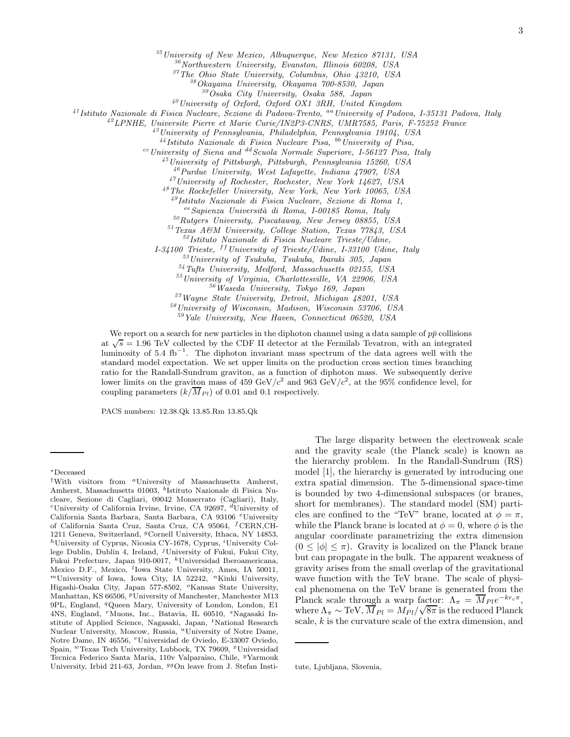<sup>35</sup>University of New Mexico, Albuquerque, New Mexico 87131, USA

<sup>36</sup>Northwestern University, Evanston, Illinois 60208, USA

<sup>37</sup>The Ohio State University, Columbus, Ohio 43210, USA

<sup>38</sup>Okayama University, Okayama 700-8530, Japan

<sup>39</sup>Osaka City University, Osaka 588, Japan

<sup>40</sup>University of Oxford, Oxford OX1 3RH, United Kingdom

 $^{41}$ Istituto Nazionale di Fisica Nucleare, Sezione di Padova-Trento, <sup>aa</sup> University of Padova, I-35131 Padova, Italy

 $^{42}$ LPNHE, Universite Pierre et Marie Curie/IN2P3-CNRS, UMR7585, Paris, F-75252 France

<sup>43</sup>University of Pennsylvania, Philadelphia, Pennsylvania 19104, USA

 $^{44}$ Istituto Nazionale di Fisica Nucleare Pisa,  $^{bb}$  University of Pisa,

 $\alpha$ <sup>cc</sup>University of Siena and <sup>dd</sup> Scuola Normale Superiore, I-56127 Pisa, Italy

 $^{45}$ University of Pittsburgh, Pittsburgh, Pennsylvania 15260, USA

<sup>46</sup>Purdue University, West Lafayette, Indiana 47907, USA

<sup>47</sup>University of Rochester, Rochester, New York 14627, USA

<sup>48</sup>The Rockefeller University, New York, New York 10065, USA

<sup>49</sup>Istituto Nazionale di Fisica Nucleare, Sezione di Roma 1,

eeSapienza Universit`a di Roma, I-00185 Roma, Italy

 $50Rutgers$  University, Piscataway, New Jersey 08855, USA

<sup>51</sup>Texas A&M University, College Station, Texas 77843, USA

<sup>52</sup>Istituto Nazionale di Fisica Nucleare Trieste/Udine,

I-34100 Trieste, <sup>ff</sup>University of Trieste/Udine, I-33100 Udine, Italy

<sup>53</sup>University of Tsukuba, Tsukuba, Ibaraki 305, Japan

<sup>54</sup>Tufts University, Medford, Massachusetts 02155, USA

<sup>55</sup>University of Virginia, Charlottesville, VA 22906, USA

<sup>56</sup>Waseda University, Tokyo 169, Japan

<sup>57</sup>Wayne State University, Detroit, Michigan 48201, USA

<sup>58</sup>University of Wisconsin, Madison, Wisconsin 53706, USA

 $59$ Yale University, New Haven, Connecticut 06520, USA

We report on a search for new particles in the diphoton channel using a data sample of  $p\bar{p}$  collisions at  $\sqrt{s} = 1.96$  TeV collected by the CDF II detector at the Fermilab Tevatron, with an integrated luminosity of 5.4 fb<sup>-1</sup>. The diphoton invariant mass spectrum of the data agrees well with the standard model expectation. We set upper limits on the production cross section times branching ratio for the Randall-Sundrum graviton, as a function of diphoton mass. We subsequently derive lower limits on the graviton mass of 459 GeV/ $c^2$  and 963 GeV/ $c^2$ , at the 95% confidence level, for coupling parameters  $(k/M_{Pl})$  of 0.01 and 0.1 respectively.

PACS numbers: 12.38.Qk 13.85.Rm 13.85.Qk

The large disparity between the electroweak scale and the gravity scale (the Planck scale) is known as the hierarchy problem. In the Randall-Sundrum (RS) model [1], the hierarchy is generated by introducing one extra spatial dimension. The 5-dimensional space-time is bounded by two 4-dimensional subspaces (or branes, short for membranes). The standard model (SM) particles are confined to the "TeV" brane, located at  $\phi = \pi$ , while the Planck brane is located at  $\phi = 0$ , where  $\phi$  is the angular coordinate parametrizing the extra dimension  $(0 \leq |\phi| \leq \pi)$ . Gravity is localized on the Planck brane but can propagate in the bulk. The apparent weakness of gravity arises from the small overlap of the gravitational wave function with the TeV brane. The scale of physical phenomena on the TeV brane is generated from the Planck scale through a warp factor:  $\Lambda_{\pi} = \overline{M}_{Pl} e^{-kr_c \pi}$ , where  $\Lambda_{\pi} \sim \text{TeV}, \overline{M}_{Pl} = M_{Pl}/\sqrt{8\pi}$  is the reduced Planck scale, k is the curvature scale of the extra dimension, and

<sup>∗</sup>Deceased

<sup>&</sup>lt;sup>†</sup>With visitors from <sup>a</sup>University of Massachusetts Amherst, Amherst, Massachusetts 01003, <sup>b</sup>Istituto Nazionale di Fisica Nucleare, Sezione di Cagliari, 09042 Monserrato (Cagliari), Italy, <sup>c</sup>University of California Irvine, Irvine, CA 92697,  $d$ University of California Santa Barbara, Santa Barbara, CA 93106 <sup>e</sup>University of California Santa Cruz, Santa Cruz, CA 95064, <sup>f</sup>CERN,CH-1211 Geneva, Switzerland, <sup>g</sup>Cornell University, Ithaca, NY 14853,  $h$ University of Cyprus, Nicosia CY-1678, Cyprus, <sup>i</sup>University College Dublin, Dublin 4, Ireland,  $<sup>j</sup>$  University of Fukui, Fukui City,</sup> Fukui Prefecture, Japan 910-0017, <sup>k</sup>Universidad Iberoamericana, Mexico D.F., Mexico, <sup>l</sup>Iowa State University, Ames, IA 50011,  $<sup>m</sup>$ University of Iowa, Iowa City, IA 52242,  $<sup>n</sup>$ Kinki University,</sup></sup> Higashi-Osaka City, Japan 577-8502, <sup>o</sup>Kansas State University, Manhattan, KS 66506, <sup>*p*</sup>University of Manchester, Manchester M13 9PL, England, <sup>q</sup>Queen Mary, University of London, London, E1 4NS, England, <sup>r</sup>Muons, Inc., Batavia, IL 60510, <sup>s</sup>Nagasaki Institute of Applied Science, Nagasaki, Japan, <sup>t</sup>National Research Nuclear University, Moscow, Russia, "University of Notre Dame, Notre Dame, IN 46556, <sup>v</sup>Universidad de Oviedo, E-33007 Oviedo, Spain, <sup>w</sup>Texas Tech University, Lubbock, TX 79609, <sup>x</sup>Universidad Tecnica Federico Santa Maria, 110v Valparaiso, Chile, <sup>y</sup>Yarmouk University, Irbid 211-63, Jordan, <sup>99</sup>On leave from J. Stefan Insti-

tute, Ljubljana, Slovenia,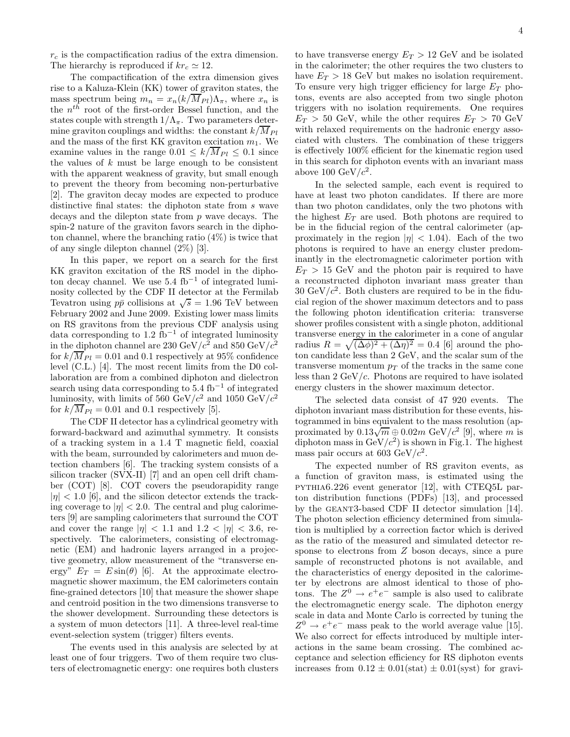$r_c$  is the compactification radius of the extra dimension. The hierarchy is reproduced if  $kr_c \simeq 12$ .

The compactification of the extra dimension gives rise to a Kaluza-Klein (KK) tower of graviton states, the mass spectrum being  $m_n = x_n (k / \overline{M}_{Pl}) \Lambda_{\pi}$ , where  $x_n$  is the  $n^{th}$  root of the first-order Bessel function, and the states couple with strength  $1/\Lambda_{\pi}$ . Two parameters determine graviton couplings and widths: the constant  $k/\overline{M}_{Pl}$ and the mass of the first KK graviton excitation  $m_1$ . We examine values in the range  $0.01 \leq k/\overline{M}_{Pl} \leq 0.1$  since the values of  $k$  must be large enough to be consistent with the apparent weakness of gravity, but small enough to prevent the theory from becoming non-perturbative [2]. The graviton decay modes are expected to produce distinctive final states: the diphoton state from s wave decays and the dilepton state from  $p$  wave decays. The spin-2 nature of the graviton favors search in the diphoton channel, where the branching ratio (4%) is twice that of any single dilepton channel (2%) [3].

In this paper, we report on a search for the first KK graviton excitation of the RS model in the diphoton decay channel. We use  $5.4 \text{ fb}^{-1}$  of integrated luminosity collected by the CDF II detector at the Fermilab Tevatron using  $p\bar{p}$  collisions at  $\sqrt{s} = 1.96$  TeV between February 2002 and June 2009. Existing lower mass limits on RS gravitons from the previous CDF analysis using data corresponding to  $1.2 \text{ fb}^{-1}$  of integrated luminosity in the diphoton channel are 230 GeV/ $c^2$  and 850 GeV/ $c^2$ for  $k/\overline{M}_{Pl} = 0.01$  and 0.1 respectively at 95% confidence level (C.L.) [4]. The most recent limits from the D0 collaboration are from a combined diphoton and dielectron search using data corresponding to  $5.4 \text{ fb}^{-1}$  of integrated luminosity, with limits of 560 GeV/ $c^2$  and 1050 GeV/ $c^2$ for  $k/\overline{M}_{Pl} = 0.01$  and 0.1 respectively [5].

The CDF II detector has a cylindrical geometry with forward-backward and azimuthal symmetry. It consists of a tracking system in a 1.4 T magnetic field, coaxial with the beam, surrounded by calorimeters and muon detection chambers [6]. The tracking system consists of a silicon tracker (SVX-II) [7] and an open cell drift chamber (COT) [8]. COT covers the pseudorapidity range  $|\eta|$  < 1.0 [6], and the silicon detector extends the tracking coverage to  $|\eta| < 2.0$ . The central and plug calorimeters [9] are sampling calorimeters that surround the COT and cover the range  $|\eta| < 1.1$  and  $1.2 < |\eta| < 3.6$ , respectively. The calorimeters, consisting of electromagnetic (EM) and hadronic layers arranged in a projective geometry, allow measurement of the "transverse energy"  $E_T = E \sin(\theta)$  [6]. At the approximate electromagnetic shower maximum, the EM calorimeters contain fine-grained detectors [10] that measure the shower shape and centroid position in the two dimensions transverse to the shower development. Surrounding these detectors is a system of muon detectors [11]. A three-level real-time event-selection system (trigger) filters events.

The events used in this analysis are selected by at least one of four triggers. Two of them require two clusters of electromagnetic energy: one requires both clusters

to have transverse energy  $E_T > 12$  GeV and be isolated in the calorimeter; the other requires the two clusters to have  $E_T > 18$  GeV but makes no isolation requirement. To ensure very high trigger efficiency for large  $E_T$  photons, events are also accepted from two single photon triggers with no isolation requirements. One requires  $E_T > 50$  GeV, while the other requires  $E_T > 70$  GeV with relaxed requirements on the hadronic energy associated with clusters. The combination of these triggers is effectively 100% efficient for the kinematic region used in this search for diphoton events with an invariant mass above 100 GeV/ $c^2$ .

In the selected sample, each event is required to have at least two photon candidates. If there are more than two photon candidates, only the two photons with the highest  $E_T$  are used. Both photons are required to be in the fiducial region of the central calorimeter (approximately in the region  $|\eta| < 1.04$ ). Each of the two photons is required to have an energy cluster predominantly in the electromagnetic calorimeter portion with  $E_T > 15$  GeV and the photon pair is required to have a reconstructed diphoton invariant mass greater than  $30 \text{ GeV}/c^2$ . Both clusters are required to be in the fiducial region of the shower maximum detectors and to pass the following photon identification criteria: transverse shower profiles consistent with a single photon, additional transverse energy in the calorimeter in a cone of angular radius  $R = \sqrt{(\Delta \phi)^2 + (\Delta \eta)^2} = 0.4$  [6] around the photon candidate less than 2 GeV, and the scalar sum of the transverse momentum  $p_T$  of the tracks in the same cone less than  $2 \text{ GeV}/c$ . Photons are required to have isolated energy clusters in the shower maximum detector.

The selected data consist of 47 920 events. The diphoton invariant mass distribution for these events, histogrammed in bins equivalent to the mass resolution (approximated by  $0.13\sqrt{m} \oplus 0.02m$  GeV/ $c^2$  [9], where m is diphoton mass in  $GeV/c^2$ ) is shown in Fig.1. The highest mass pair occurs at 603  $\text{GeV}/c^2$ .

The expected number of RS graviton events, as a function of graviton mass, is estimated using the pythia6.226 event generator [12], with CTEQ5L parton distribution functions (PDFs) [13], and processed by the geant3-based CDF II detector simulation [14]. The photon selection efficiency determined from simulation is multiplied by a correction factor which is derived as the ratio of the measured and simulated detector response to electrons from Z boson decays, since a pure sample of reconstructed photons is not available, and the characteristics of energy deposited in the calorimeter by electrons are almost identical to those of photons. The  $Z^0 \rightarrow e^+e^-$  sample is also used to calibrate the electromagnetic energy scale. The diphoton energy scale in data and Monte Carlo is corrected by tuning the  $Z^0 \rightarrow e^+e^-$  mass peak to the world average value [15]. We also correct for effects introduced by multiple interactions in the same beam crossing. The combined acceptance and selection efficiency for RS diphoton events increases from  $0.12 \pm 0.01$  (stat)  $\pm 0.01$  (syst) for gravi-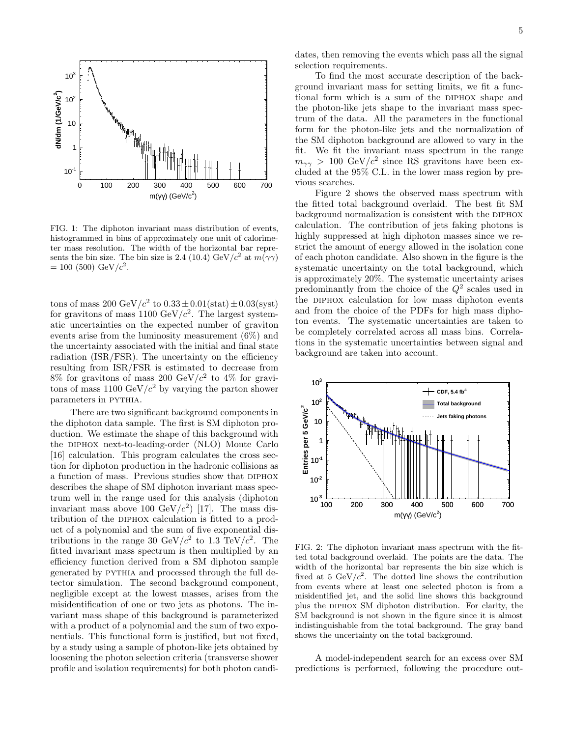

FIG. 1: The diphoton invariant mass distribution of events, histogrammed in bins of approximately one unit of calorimeter mass resolution. The width of the horizontal bar represents the bin size. The bin size is 2.4 (10.4) GeV/ $c^2$  at  $m(\gamma\gamma)$  $= 100 (500) \text{ GeV}/c^2.$ 

tons of mass  $200 \text{ GeV}/c^2$  to  $0.33 \pm 0.01 (\text{stat}) \pm 0.03 (\text{syst})$ for gravitons of mass 1100 GeV/ $c^2$ . The largest systematic uncertainties on the expected number of graviton events arise from the luminosity measurement (6%) and the uncertainty associated with the initial and final state radiation (ISR/FSR). The uncertainty on the efficiency resulting from ISR/FSR is estimated to decrease from  $8\%$  for gravitons of mass 200 GeV/ $c^2$  to 4% for gravitons of mass  $1100 \text{ GeV}/c^2$  by varying the parton shower parameters in pythia.

There are two significant background components in the diphoton data sample. The first is SM diphoton production. We estimate the shape of this background with the diphox next-to-leading-order (NLO) Monte Carlo [16] calculation. This program calculates the cross section for diphoton production in the hadronic collisions as a function of mass. Previous studies show that DIPHOX describes the shape of SM diphoton invariant mass spectrum well in the range used for this analysis (diphoton invariant mass above 100  $\text{GeV}/c^2$ ) [17]. The mass distribution of the DIPHOX calculation is fitted to a product of a polynomial and the sum of five exponential distributions in the range 30 GeV/ $c^2$  to 1.3 TeV/ $c^2$ . The fitted invariant mass spectrum is then multiplied by an efficiency function derived from a SM diphoton sample generated by pythia and processed through the full detector simulation. The second background component, negligible except at the lowest masses, arises from the misidentification of one or two jets as photons. The invariant mass shape of this background is parameterized with a product of a polynomial and the sum of two exponentials. This functional form is justified, but not fixed, by a study using a sample of photon-like jets obtained by loosening the photon selection criteria (transverse shower profile and isolation requirements) for both photon candidates, then removing the events which pass all the signal selection requirements.

To find the most accurate description of the background invariant mass for setting limits, we fit a functional form which is a sum of the DIPHOX shape and the photon-like jets shape to the invariant mass spectrum of the data. All the parameters in the functional form for the photon-like jets and the normalization of the SM diphoton background are allowed to vary in the fit. We fit the invariant mass spectrum in the range  $m_{\gamma\gamma} > 100 \text{ GeV}/c^2$  since RS gravitons have been excluded at the 95% C.L. in the lower mass region by previous searches.

Figure 2 shows the observed mass spectrum with the fitted total background overlaid. The best fit SM background normalization is consistent with the DIPHOX calculation. The contribution of jets faking photons is highly suppressed at high diphoton masses since we restrict the amount of energy allowed in the isolation cone of each photon candidate. Also shown in the figure is the systematic uncertainty on the total background, which is approximately 20%. The systematic uncertainty arises predominantly from the choice of the  $Q^2$  scales used in the diphox calculation for low mass diphoton events and from the choice of the PDFs for high mass diphoton events. The systematic uncertainties are taken to be completely correlated across all mass bins. Correlations in the systematic uncertainties between signal and background are taken into account.



FIG. 2: The diphoton invariant mass spectrum with the fitted total background overlaid. The points are the data. The width of the horizontal bar represents the bin size which is fixed at 5 GeV/ $c^2$ . The dotted line shows the contribution from events where at least one selected photon is from a misidentified jet, and the solid line shows this background plus the diphox SM diphoton distribution. For clarity, the SM background is not shown in the figure since it is almost indistinguishable from the total background. The gray band shows the uncertainty on the total background.

A model-independent search for an excess over SM predictions is performed, following the procedure out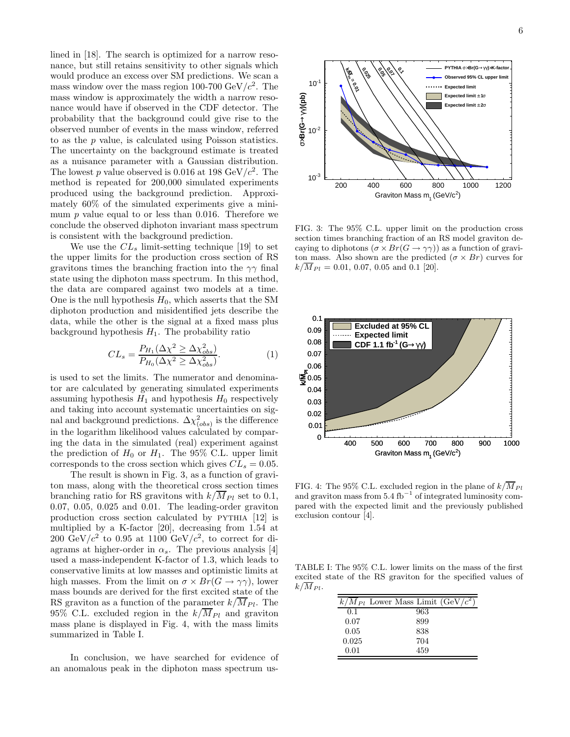lined in [18]. The search is optimized for a narrow resonance, but still retains sensitivity to other signals which would produce an excess over SM predictions. We scan a mass window over the mass region 100-700  $\text{GeV}/c^2$ . The mass window is approximately the width a narrow resonance would have if observed in the CDF detector. The probability that the background could give rise to the observed number of events in the mass window, referred to as the p value, is calculated using Poisson statistics. The uncertainty on the background estimate is treated as a nuisance parameter with a Gaussian distribution. The lowest p value observed is 0.016 at 198 GeV/ $c^2$ . The method is repeated for 200,000 simulated experiments produced using the background prediction. Approximately 60% of the simulated experiments give a minimum  $p$  value equal to or less than 0.016. Therefore we conclude the observed diphoton invariant mass spectrum is consistent with the background prediction.

We use the  $CL<sub>s</sub>$  limit-setting technique [19] to set the upper limits for the production cross section of RS gravitons times the branching fraction into the  $\gamma\gamma$  final state using the diphoton mass spectrum. In this method, the data are compared against two models at a time. One is the null hypothesis  $H_0$ , which asserts that the SM diphoton production and misidentified jets describe the data, while the other is the signal at a fixed mass plus background hypothesis  $H_1$ . The probability ratio

$$
CL_s = \frac{P_{H_1}(\Delta \chi^2 \ge \Delta \chi^2_{obs})}{P_{H_0}(\Delta \chi^2 \ge \Delta \chi^2_{obs})}.
$$
 (1)

is used to set the limits. The numerator and denominator are calculated by generating simulated experiments assuming hypothesis  $H_1$  and hypothesis  $H_0$  respectively and taking into account systematic uncertainties on signal and background predictions.  $\Delta \chi^2_{(obs)}$  is the difference in the logarithm likelihood values calculated by comparing the data in the simulated (real) experiment against the prediction of  $H_0$  or  $H_1$ . The 95% C.L. upper limit corresponds to the cross section which gives  $CL_s = 0.05$ .

The result is shown in Fig. 3, as a function of graviton mass, along with the theoretical cross section times branching ratio for RS gravitons with  $k/\overline{M}_{Pl}$  set to 0.1, 0.07, 0.05, 0.025 and 0.01. The leading-order graviton production cross section calculated by PYTHIA [12] is multiplied by a K-factor [20], decreasing from 1.54 at 200 GeV/ $c^2$  to 0.95 at 1100 GeV/ $c^2$ , to correct for diagrams at higher-order in  $\alpha_s$ . The previous analysis [4] used a mass-independent K-factor of 1.3, which leads to conservative limits at low masses and optimistic limits at high masses. From the limit on  $\sigma \times Br(G \to \gamma \gamma)$ , lower mass bounds are derived for the first excited state of the RS graviton as a function of the parameter  $k/\overline{M}_{Pl}$ . The 95% C.L. excluded region in the  $k/\overline{M}_{Pl}$  and graviton mass plane is displayed in Fig. 4, with the mass limits summarized in Table I.

In conclusion, we have searched for evidence of an anomalous peak in the diphoton mass spectrum us-



FIG. 3: The 95% C.L. upper limit on the production cross section times branching fraction of an RS model graviton decaying to diphotons  $(\sigma \times Br(G \to \gamma \gamma))$  as a function of graviton mass. Also shown are the predicted  $(\sigma \times Br)$  curves for  $k/\overline{M}_{Pl} = 0.01, 0.07, 0.05$  and 0.1 [20].



FIG. 4: The 95% C.L. excluded region in the plane of  $k/\overline{M}_{Pl}$ and graviton mass from  $5.4 \text{ fb}^{-1}$  of integrated luminosity compared with the expected limit and the previously published exclusion contour [4].

TABLE I: The 95% C.L. lower limits on the mass of the first excited state of the RS graviton for the specified values of  $k/M_{Pl}$ .

|       | $k/M_{Pl}$ Lower Mass Limit (GeV/ $c^2$ ) |
|-------|-------------------------------------------|
| 0.1   | 963                                       |
| 0.07  | 899                                       |
| 0.05  | 838                                       |
| 0.025 | 704                                       |
| 0.01  | 459                                       |